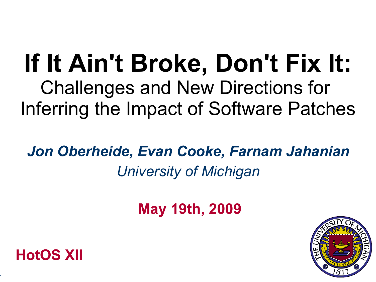# **If It Ain't Broke, Don't Fix It:** Challenges and New Directions for Inferring the Impact of Software Patches

*Jon Oberheide, Evan Cooke, Farnam Jahanian University of Michigan*

**May 19th, 2009**





-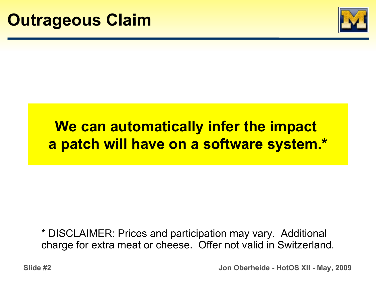

# **We can automatically infer the impact a patch will have on a software system.\***

\* DISCLAIMER: Prices and participation may vary. Additional charge for extra meat or cheese. Offer not valid in Switzerland.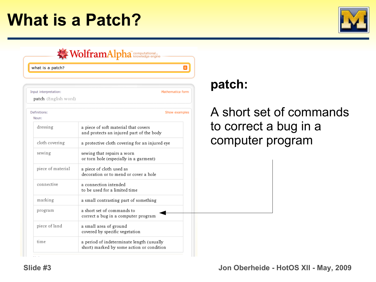# **What is a Patch?**



| what is a patch?      |                                                                                        | Ξ |
|-----------------------|----------------------------------------------------------------------------------------|---|
|                       |                                                                                        |   |
| Input interpretation: | Mathematica form                                                                       |   |
| patch (English word)  |                                                                                        |   |
| Definitions:<br>Noun: | Show examples                                                                          |   |
| dressing              | a piece of soft material that covers<br>and protects an injured part of the body       |   |
| cloth covering        | a protective cloth covering for an injured eye                                         |   |
| sewing                | sewing that repairs a worn<br>or torn hole (especially in a garment)                   |   |
| piece of material     | a piece of cloth used as<br>decoration or to mend or cover a hole                      |   |
| connective            | a connection intended<br>to be used for a limited time                                 |   |
| marking               | a small contrasting part of something                                                  |   |
| program               | a short set of commands to<br>correct a bug in a computer program                      |   |
| piece of land         | a small area of ground<br>covered by specific vegetation                               |   |
| time                  | a period of indeterminate length (usually<br>short) marked by some action or condition |   |

## **patch:**

## ort set of commands rrect a bug in a outer program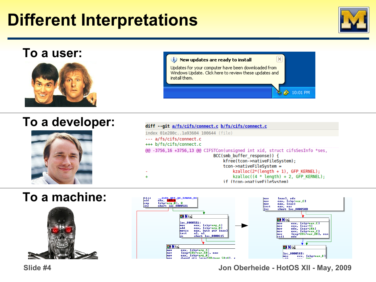# **Different Interpretations**



#### **To a user:** (i) New updates are ready to install Updates for your computer have been downloaded from Windows Update, Click here to review these updates and install them. **◆ 10:01 PM**

### **To a developer:**



#### diff --git a/fs/cifs/connect.c b/fs/cifs/connect.c index 01e280c..1a93604 100644 (file) --- a/fs/cifs/connect.c +++ b/fs/cifs/connect.c @@ -3756,16 +3756,13 @@ CIFSTCon(unsigned int xid, struct cifsSesInfo \*ses, BCC(smb buffer response)) { kfree(tcon->nativeFileSystem); tcon->nativeFileSystem =  $kzalloc(2*(length + 1), GFP KERNEL);$  $kzalloc((4 * length) + 2, GFP KERNEL);$  $\ddot{}$ if (tcon->nativeFileSystem)

## **To a machine:**





 **Slide #4 Jon Oberheide - HotOS XII - May, 2009**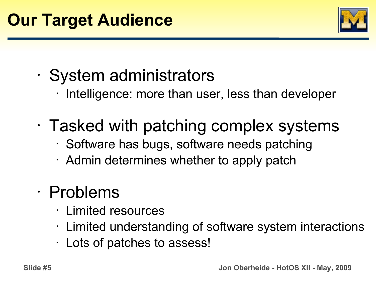

- System administrators
	- Intelligence: more than user, less than developer
- Tasked with patching complex systems
	- Software has bugs, software needs patching
	- $\cdot$  Admin determines whether to apply patch

# • Problems

- Limited resources
- Limited understanding of software system interactions
- Lots of patches to assess!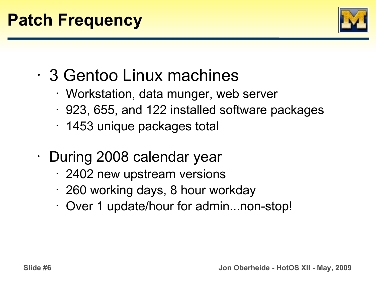

- 3 Gentoo Linux machines
	- Workstation, data munger, web server
	- 923, 655, and 122 installed software packages
	- 1453 unique packages total
- During 2008 calendar year
	- 2402 new upstream versions
	- 260 working days, 8 hour workday
	- Over 1 update/hour for admin...non-stop!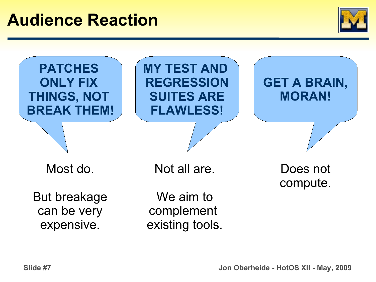

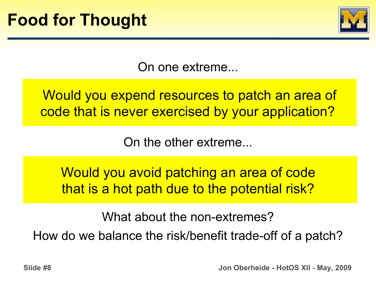

On one extreme...

Would you expend resources to patch an area of code that is never exercised by your application?

On the other extreme...

Would you avoid patching an area of code that is a hot path due to the potential risk?

What about the non-extremes?

How do we balance the risk/benefit trade-off of a patch?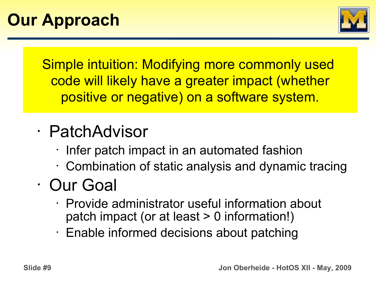

Simple intuition: Modifying more commonly used code will likely have a greater impact (whether positive or negative) on a software system.

# • PatchAdvisor

- Infer patch impact in an automated fashion
- Combination of static analysis and dynamic tracing

# • Our Goal

- Provide administrator useful information about patch impact (or at least > 0 information!)
- Enable informed decisions about patching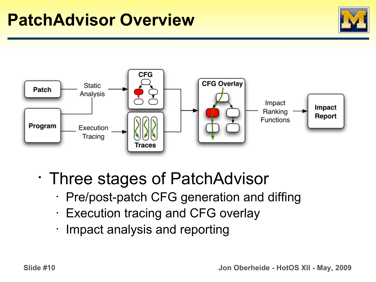# **PatchAdvisor Overview**





- Three stages of PatchAdvisor
	- Pre/post-patch CFG generation and diffing
	- Execution tracing and CFG overlay
	- Impact analysis and reporting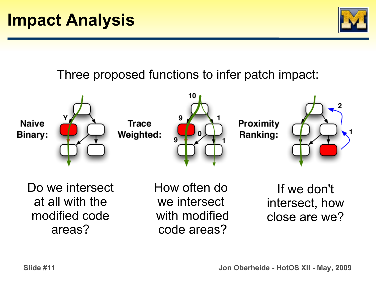

## Three proposed functions to infer patch impact:



Do we intersect at all with the modified code areas?

How often do we intersect with modified code areas?

If we don't intersect, how close are we?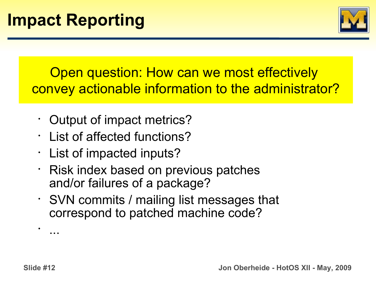

Open question: How can we most effectively convey actionable information to the administrator?

- Output of impact metrics?
- List of affected functions?
- List of impacted inputs?
- Risk index based on previous patches and/or failures of a package?
- SVN commits / mailing list messages that correspond to patched machine code?

 **Slide #12 Jon Oberheide - HotOS XII - May, 2009**

•

...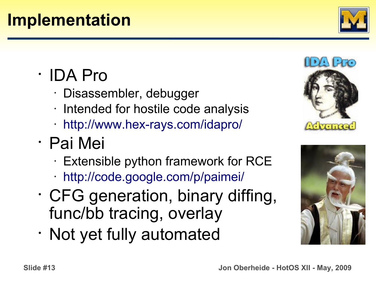# **Implementation**

- IDA Pro
	- Disassembler, debugger
	- Intended for hostile code analysis
	- <http://www.hex-rays.com/idapro/>
- Pai Mei
	- Extensible python framework for RCE
	- <http://code.google.com/p/paimei/>
- CFG generation, binary diffing, func/bb tracing, overlay
- Not yet fully automated





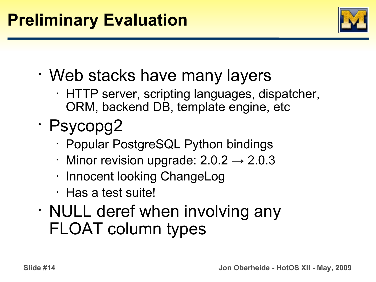

- Web stacks have many layers
	- HTTP server, scripting languages, dispatcher, ORM, backend DB, template engine, etc
- Psycopg2
	- Popular PostgreSQL Python bindings
	- Minor revision upgrade:  $2.0.2 \rightarrow 2.0.3$
	- Innocent looking ChangeLog
	- Has a test suite!
- NULL deref when involving any FLOAT column types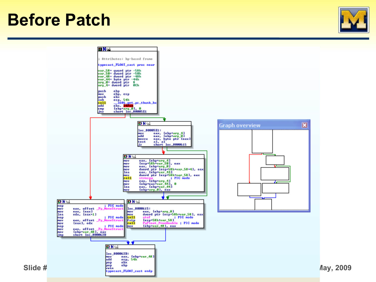# **Before Patch**



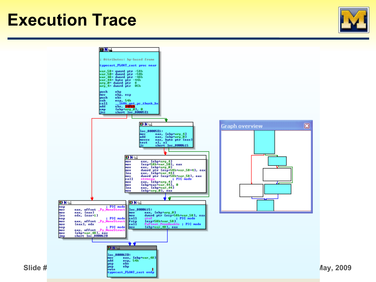# **Execution Trace**



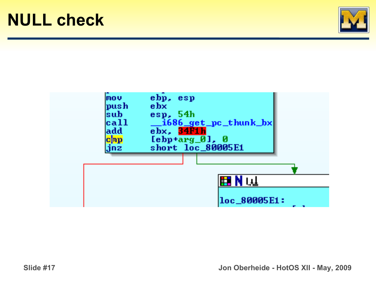



 **Slide #17 Jon Oberheide - HotOS XII - May, 2009**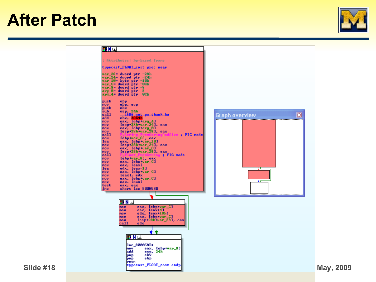# **After Patch**



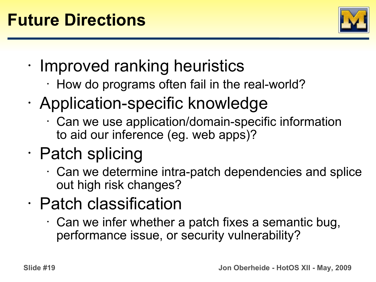

- Improved ranking heuristics
	- $\cdot$  How do programs often fail in the real-world?
- Application-specific knowledge
	- Can we use application/domain-specific information to aid our inference (eg. web apps)?
- Patch splicing
	- Can we determine intra-patch dependencies and splice out high risk changes?
- Patch classification
	- Can we infer whether a patch fixes a semantic bug, performance issue, or security vulnerability?